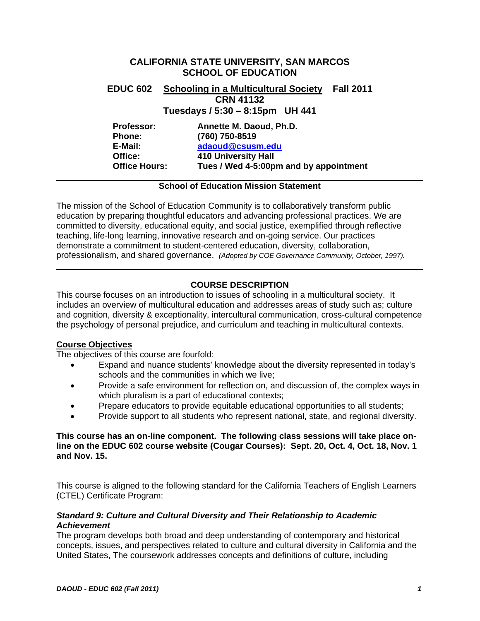# **CALIFORNIA STATE UNIVERSITY, SAN MARCOS SCHOOL OF EDUCATION EDUC 602 Schooling in a Multicultural Society Fall 2011 CRN 41132 Tuesdays / 5:30 – 8:15pm UH 441 Professor: Annette M. Daoud, Ph.D. Phone: (760) 750-8519**

adaoud@csusm.edu  **E-Mail: adaoud@csusm.edu Office: 410 University Hall Office Hours: Tues / Wed 4-5:00pm and by appointment** 

## **School of Education Mission Statement**

The mission of the School of Education Community is to collaboratively transform public education by preparing thoughtful educators and advancing professional practices. We are committed to diversity, educational equity, and social justice, exemplified through reflective teaching, life-long learning, innovative research and on-going service. Our practices demonstrate a commitment to student-centered education, diversity, collaboration, professionalism, and shared governance. *(Adopted by COE Governance Community, October, 1997).* 

# **COURSE DESCRIPTION**

This course focuses on an introduction to issues of schooling in a multicultural society. It includes an overview of multicultural education and addresses areas of study such as; culture and cognition, diversity & exceptionality, intercultural communication, cross-cultural competence the psychology of personal prejudice, and curriculum and teaching in multicultural contexts.

# **Course Objectives**

The objectives of this course are fourfold:

- Expand and nuance students' knowledge about the diversity represented in today's schools and the communities in which we live;
- Provide a safe environment for reflection on, and discussion of, the complex ways in which pluralism is a part of educational contexts;
- Prepare educators to provide equitable educational opportunities to all students;
- Provide support to all students who represent national, state, and regional diversity.

## **This course has an on-line component. The following class sessions will take place online on the EDUC 602 course website (Cougar Courses): Sept. 20, Oct. 4, Oct. 18, Nov. 1 and Nov. 15.**

This course is aligned to the following standard for the California Teachers of English Learners (CTEL) Certificate Program:

## *Standard 9: Culture and Cultural Diversity and Their Relationship to Academic Achievement*

The program develops both broad and deep understanding of contemporary and historical concepts, issues, and perspectives related to culture and cultural diversity in California and the United States, The coursework addresses concepts and definitions of culture, including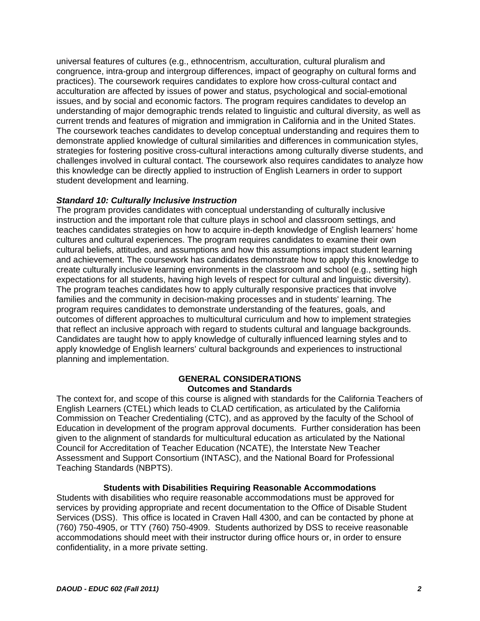universal features of cultures (e.g., ethnocentrism, acculturation, cultural pluralism and congruence, intra-group and intergroup differences, impact of geography on cultural forms and practices). The coursework requires candidates to explore how cross-cultural contact and acculturation are affected by issues of power and status, psychological and social-emotional issues, and by social and economic factors. The program requires candidates to develop an understanding of major demographic trends related to linguistic and cultural diversity, as well as current trends and features of migration and immigration in California and in the United States. The coursework teaches candidates to develop conceptual understanding and requires them to demonstrate applied knowledge of cultural similarities and differences in communication styles, strategies for fostering positive cross-cultural interactions among culturally diverse students, and challenges involved in cultural contact. The coursework also requires candidates to analyze how this knowledge can be directly applied to instruction of English Learners in order to support student development and learning.

## *Standard 10: Culturally Inclusive Instruction*

The program provides candidates with conceptual understanding of culturally inclusive instruction and the important role that culture plays in school and classroom settings, and teaches candidates strategies on how to acquire in-depth knowledge of English learners' home cultures and cultural experiences. The program requires candidates to examine their own cultural beliefs, attitudes, and assumptions and how this assumptions impact student learning and achievement. The coursework has candidates demonstrate how to apply this knowledge to create culturally inclusive learning environments in the classroom and school (e.g., setting high expectations for all students, having high levels of respect for cultural and linguistic diversity). The program teaches candidates how to apply culturally responsive practices that involve families and the community in decision-making processes and in students' learning. The program requires candidates to demonstrate understanding of the features, goals, and outcomes of different approaches to multicultural curriculum and how to implement strategies that reflect an inclusive approach with regard to students cultural and language backgrounds. Candidates are taught how to apply knowledge of culturally influenced learning styles and to apply knowledge of English learners' cultural backgrounds and experiences to instructional planning and implementation.

## **GENERAL CONSIDERATIONS Outcomes and Standards**

The context for, and scope of this course is aligned with standards for the California Teachers of English Learners (CTEL) which leads to CLAD certification, as articulated by the California Commission on Teacher Credentialing (CTC), and as approved by the faculty of the School of Education in development of the program approval documents. Further consideration has been given to the alignment of standards for multicultural education as articulated by the National Council for Accreditation of Teacher Education (NCATE), the Interstate New Teacher Assessment and Support Consortium (INTASC), and the National Board for Professional Teaching Standards (NBPTS).

## **Students with Disabilities Requiring Reasonable Accommodations**

Students with disabilities who require reasonable accommodations must be approved for services by providing appropriate and recent documentation to the Office of Disable Student Services (DSS). This office is located in Craven Hall 4300, and can be contacted by phone at (760) 750-4905, or TTY (760) 750-4909. Students authorized by DSS to receive reasonable accommodations should meet with their instructor during office hours or, in order to ensure confidentiality, in a more private setting.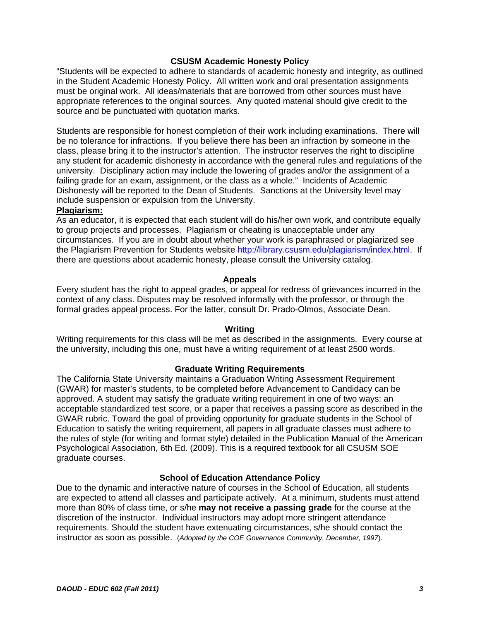## **CSUSM Academic Honesty Policy**

"Students will be expected to adhere to standards of academic honesty and integrity, as outlined in the Student Academic Honesty Policy. All written work and oral presentation assignments must be original work. All ideas/materials that are borrowed from other sources must have appropriate references to the original sources. Any quoted material should give credit to the source and be punctuated with quotation marks.

Students are responsible for honest completion of their work including examinations. There will be no tolerance for infractions. If you believe there has been an infraction by someone in the class, please bring it to the instructor's attention. The instructor reserves the right to discipline any student for academic dishonesty in accordance with the general rules and regulations of the university. Disciplinary action may include the lowering of grades and/or the assignment of a failing grade for an exam, assignment, or the class as a whole." Incidents of Academic Dishonesty will be reported to the Dean of Students. Sanctions at the University level may include suspension or expulsion from the University.

## **Plagiarism:**

As an educator, it is expected that each student will do his/her own work, and contribute equally to group projects and processes. Plagiarism or cheating is unacceptable under any circumstances. If you are in doubt about whether your work is paraphrased or plagiarized see the Plagiarism Prevention for Students website http://library.csusm.edu/plagiarism/index.html. If there are questions about academic honesty, please consult the University catalog.

## **Appeals**

Every student has the right to appeal grades, or appeal for redress of grievances incurred in the context of any class. Disputes may be resolved informally with the professor, or through the formal grades appeal process. For the latter, consult Dr. Prado-Olmos, Associate Dean.

#### **Writing**

Writing requirements for this class will be met as described in the assignments. Every course at the university, including this one, must have a writing requirement of at least 2500 words.

## **Graduate Writing Requirements**

The California State University maintains a Graduation Writing Assessment Requirement (GWAR) for master's students, to be completed before Advancement to Candidacy can be approved. A student may satisfy the graduate writing requirement in one of two ways: an acceptable standardized test score, or a paper that receives a passing score as described in the GWAR rubric. Toward the goal of providing opportunity for graduate students in the School of Education to satisfy the writing requirement, all papers in all graduate classes must adhere to the rules of style (for writing and format style) detailed in the Publication Manual of the American Psychological Association, 6th Ed. (2009). This is a required textbook for all CSUSM SOE graduate courses.

## **School of Education Attendance Policy**

Due to the dynamic and interactive nature of courses in the School of Education, all students are expected to attend all classes and participate actively. At a minimum, students must attend more than 80% of class time, or s/he **may not receive a passing grade** for the course at the discretion of the instructor. Individual instructors may adopt more stringent attendance requirements. Should the student have extenuating circumstances, s/he should contact the instructor as soon as possible. (*Adopted by the COE Governance Community, December, 1997*).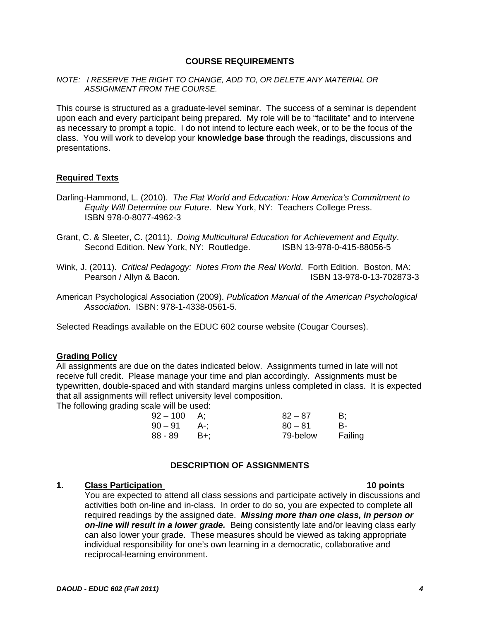## **COURSE REQUIREMENTS**

#### *NOTE: I RESERVE THE RIGHT TO CHANGE, ADD TO, OR DELETE ANY MATERIAL OR ASSIGNMENT FROM THE COURSE.*

This course is structured as a graduate-level seminar. The success of a seminar is dependent upon each and every participant being prepared. My role will be to "facilitate" and to intervene as necessary to prompt a topic. I do not intend to lecture each week, or to be the focus of the class. You will work to develop your **knowledge base** through the readings, discussions and presentations.

#### **Required Texts**

- *Equity Will Determine our Future*. New York, NY: Teachers College Press.<br>ISBN 978-0-8077-4962-3 Darling-Hammond, L. (2010). *The Flat World and Education: How America's Commitment to*
- Second Edition. New York, NY: Routledge. ISBN 13-978-0-415-88056-5 Grant, C. & Sleeter, C. (2011). *Doing Multicultural Education for Achievement and Equity*.
- Wink, J. (2011). *Critical Pedagogy: Notes From the Real World*. Forth Edition. Boston, MA: Pearson / Allyn & Bacon. ISBN 13-978-0-13-702873-3
- *Association.* ISBN: 978-1-4338-0561-5. American Psychological Association (2009). *Publication Manual of the American Psychological*

Selected Readings available on the EDUC 602 course website (Cougar Courses).

#### **Grading Policy**

All assignments are due on the dates indicated below. Assignments turned in late will not receive full credit. Please manage your time and plan accordingly. Assignments must be typewritten, double-spaced and with standard margins unless completed in class. It is expected that all assignments will reflect university level composition.

The following grading scale will be used:

| $92 - 100$ | A:    | $82 - 87$ | B:      |
|------------|-------|-----------|---------|
| $90-91$    | . A-: | $80 - 81$ | В-      |
| 88 - 89    | – B+: | 79-below  | Failing |

## **DESCRIPTION OF ASSIGNMENTS**

#### **1.** Class Participation

You are expected to attend all class sessions and participate actively in discussions and activities both on-line and in-class. In order to do so, you are expected to complete all required readings by the assigned date. *Missing more than one class, in person or on-line will result in a lower grade.* Being consistently late and/or leaving class early can also lower your grade. These measures should be viewed as taking appropriate individual responsibility for one's own learning in a democratic, collaborative and reciprocal-learning environment.

10 points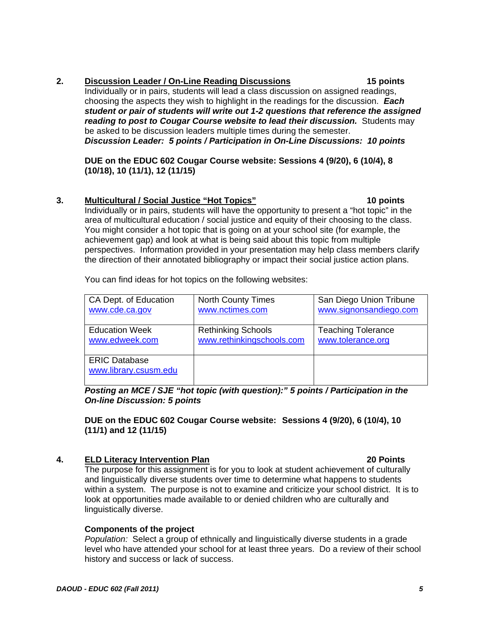## **2. Discussion Leader / On-Line Reading Discussions 15 points**

Individually or in pairs, students will lead a class discussion on assigned readings, choosing the aspects they wish to highlight in the readings for the discussion. *Each student or pair of students will write out 1-2 questions that reference the assigned reading to post to Cougar Course website to lead their discussion.* Students may be asked to be discussion leaders multiple times during the semester. *Discussion Leader: 5 points / Participation in On-Line Discussions: 10 points* 

**DUE on the EDUC 602 Cougar Course website: Sessions 4 (9/20), 6 (10/4), 8 (10/18), 10 (11/1), 12 (11/15)** 

## **3. Multicultural / Social Justice "Hot Topics" 10 points**

Individually or in pairs, students will have the opportunity to present a "hot topic" in the area of multicultural education / social justice and equity of their choosing to the class. You might consider a hot topic that is going on at your school site (for example, the achievement gap) and look at what is being said about this topic from multiple perspectives. Information provided in your presentation may help class members clarify the direction of their annotated bibliography or impact their social justice action plans.

You can find ideas for hot topics on the following websites:

| CA Dept. of Education                         | <b>North County Times</b> | San Diego Union Tribune   |
|-----------------------------------------------|---------------------------|---------------------------|
| www.cde.ca.gov                                | www.nctimes.com           | www.signonsandiego.com    |
| <b>Education Week</b>                         | <b>Rethinking Schools</b> | <b>Teaching Tolerance</b> |
| www.edweek.com                                | www.rethinkingschools.com | www.tolerance.org         |
| <b>ERIC Database</b><br>www.library.csusm.edu |                           |                           |

*Posting an MCE / SJE "hot topic (with question):" 5 points / Participation in the On-line Discussion: 5 points* 

**DUE on the EDUC 602 Cougar Course website: Sessions 4 (9/20), 6 (10/4), 10 (11/1) and 12 (11/15)** 

## **4. ELD Literacy Intervention Plan 20 Points**

The purpose for this assignment is for you to look at student achievement of culturally and linguistically diverse students over time to determine what happens to students within a system. The purpose is not to examine and criticize your school district. It is to look at opportunities made available to or denied children who are culturally and linguistically diverse.

## **Components of the project**

 *Population:* Select a group of ethnically and linguistically diverse students in a grade level who have attended your school for at least three years. Do a review of their school history and success or lack of success.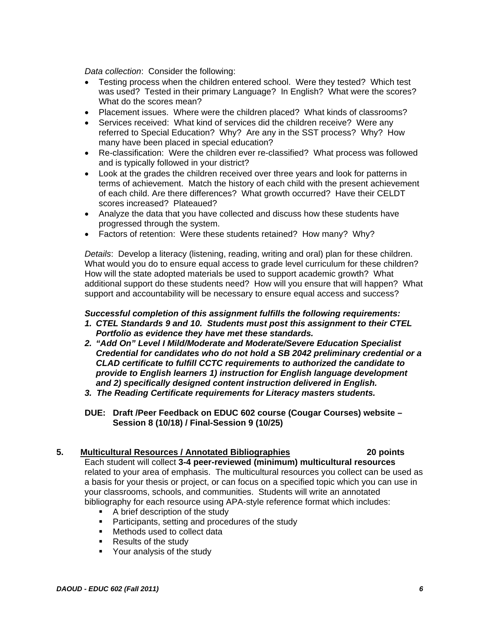*Data collection*: Consider the following:

- Testing process when the children entered school. Were they tested? Which test was used? Tested in their primary Language? In English? What were the scores? What do the scores mean?
- Placement issues. Where were the children placed? What kinds of classrooms?
- Services received: What kind of services did the children receive? Were any referred to Special Education? Why? Are any in the SST process? Why? How many have been placed in special education?
- Re-classification: Were the children ever re-classified? What process was followed and is typically followed in your district?
- Look at the grades the children received over three years and look for patterns in terms of achievement. Match the history of each child with the present achievement of each child. Are there differences? What growth occurred? Have their CELDT scores increased? Plateaued?
- Analyze the data that you have collected and discuss how these students have progressed through the system.
- Factors of retention: Were these students retained? How many? Why?

What would you do to ensure equal access to grade level curriculum for these children?<br>How will the state adopted materials be used to support academic growth? What support and accountability will be necessary to ensure equal access and success? *Details*: Develop a literacy (listening, reading, writing and oral) plan for these children. additional support do these students need? How will you ensure that will happen? What

## *Successful completion of this assignment fulfills the following requirements:*

- *1. CTEL Standards 9 and 10. Students must post this assignment to their CTEL Portfolio as evidence they have met these standards.*
- *2. "Add On" Level I Mild/Moderate and Moderate/Severe Education Specialist Credential for candidates who do not hold a SB 2042 preliminary credential or a CLAD certificate to fulfill CCTC requirements to authorized the candidate to provide to English learners 1) instruction for English language development and 2) specifically designed content instruction delivered in English.*
- *3. The Reading Certificate requirements for Literacy masters students.*
- **DUE: Draft /Peer Feedback on EDUC 602 course (Cougar Courses) website Session 8 (10/18) / Final-Session 9 (10/25)**

## **5. Multicultural Resources / Annotated Bibliographies 20 points**

Each student will collect **3-4 peer-reviewed (minimum) multicultural resources**  related to your area of emphasis. The multicultural resources you collect can be used as a basis for your thesis or project, or can focus on a specified topic which you can use in your classrooms, schools, and communities. Students will write an annotated bibliography for each resource using APA-style reference format which includes:

- **A** brief description of the study
- **Participants, setting and procedures of the study**
- **Methods used to collect data**
- **Results of the study**
- **•** Your analysis of the study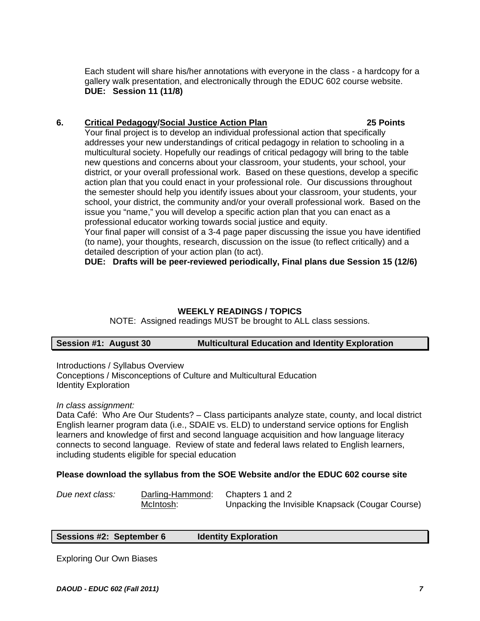**DUE: Session 11 (11/8) DUE:** Session 11 (11/8)<br>6. Critical Pedagogy/Social Justice Action Plan 25 Points 225 Points Each student will share his/her annotations with everyone in the class - a hardcopy for a gallery walk presentation, and electronically through the EDUC 602 course website.

Your final project is to develop an individual professional action that specifically addresses your new understandings of critical pedagogy in relation to schooling in a multicultural society. Hopefully our readings of critical pedagogy will bring to the table new questions and concerns about your classroom, your students, your school, your district, or your overall professional work. Based on these questions, develop a specific action plan that you could enact in your professional role. Our discussions throughout the semester should help you identify issues about your classroom, your students, your school, your district, the community and/or your overall professional work. Based on the issue you "name," you will develop a specific action plan that you can enact as a professional educator working towards social justice and equity.

Your final paper will consist of a 3-4 page paper discussing the issue you have identified (to name), your thoughts, research, discussion on the issue (to reflect critically) and a detailed description of your action plan (to act).

**DUE: Drafts will be peer-reviewed periodically, Final plans due Session 15 (12/6)** 

## **WEEKLY READINGS / TOPICS**

NOTE: Assigned readings MUST be brought to ALL class sessions.

## **Session #1: August 30 Multicultural Education and Identity Exploration**

Introductions / Syllabus Overview

Conceptions / Misconceptions of Culture and Multicultural Education Identity Exploration

## *In class assignment:*

Data Café: Who Are Our Students? – Class participants analyze state, county, and local district English learner program data (i.e., SDAIE vs. ELD) to understand service options for English learners and knowledge of first and second language acquisition and how language literacy connects to second language. Review of state and federal laws related to English learners, including students eligible for special education

## **Please download the syllabus from the SOE Website and/or the EDUC 602 course site**

| Due next class: | Darling-Hammond: Chapters 1 and 2 |                                                  |
|-----------------|-----------------------------------|--------------------------------------------------|
|                 | McIntosh:                         | Unpacking the Invisible Knapsack (Cougar Course) |

## **Sessions #2: September 6 Identity Exploration**

Exploring Our Own Biases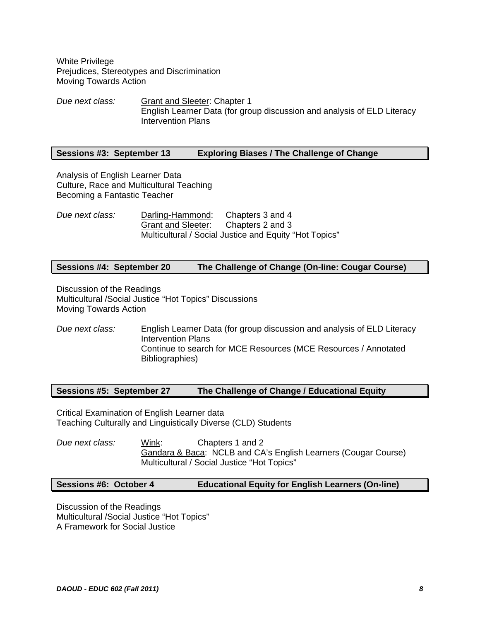White Privilege Prejudices, Stereotypes and Discrimination Moving Towards Action

*Due next class:* Grant and Sleeter: Chapter 1 English Learner Data (for group discussion and analysis of ELD Literacy Intervention Plans

#### **Sessions #3: September 13 Exploring Biases / The Challenge of Change**

Analysis of English Learner Data Culture, Race and Multicultural Teaching Becoming a Fantastic Teacher

*Due next class:* Darling-Hammond: Chapters 3 and 4 Grant and Sleeter: Chapters 2 and 3 Multicultural / Social Justice and Equity "Hot Topics"

## **Sessions #4: September 20 The Challenge of Change (On-line: Cougar Course)**

Discussion of the Readings Multicultural /Social Justice "Hot Topics" Discussions Moving Towards Action

*Due next class:* English Learner Data (for group discussion and analysis of ELD Literacy Intervention Plans Continue to search for MCE Resources (MCE Resources / Annotated Bibliographies)

## **Sessions #5: September 27 The Challenge of Change / Educational Equity**

Critical Examination of English Learner data Teaching Culturally and Linguistically Diverse (CLD) Students

Wink: *Due next class:* Wink: Chapters 1 and 2 Gandara & Baca: NCLB and CA's English Learners (Cougar Course) Multicultural / Social Justice "Hot Topics"

## **Sessions #6: October 4 Educational Equity for English Learners (On-line)**

Discussion of the Readings Multicultural /Social Justice "Hot Topics" A Framework for Social Justice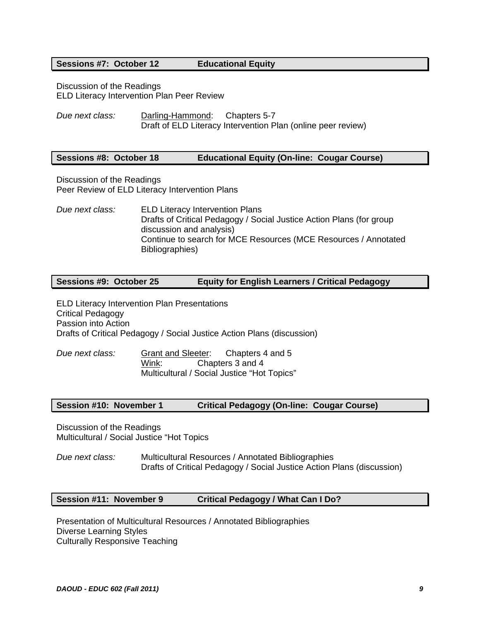#### **Sessions #7: October 12**

#### **Educational Equity**

Discussion of the Readings ELD Literacy Intervention Plan Peer Review

*Due next class:* Darling-Hammond: Chapters 5-7 Draft of ELD Literacy Intervention Plan (online peer review)

## **Sessions #8: October 18 Educational Equity (On-line: Cougar Course)**

Discussion of the Readings Peer Review of ELD Literacy Intervention Plans

*Due next class:* ELD Literacy Intervention Plans Drafts of Critical Pedagogy / Social Justice Action Plans (for group discussion and analysis) Continue to search for MCE Resources (MCE Resources / Annotated Bibliographies)

## **Sessions #9: October 25 Equity for English Learners / Critical Pedagogy**

ELD Literacy Intervention Plan Presentations Critical Pedagogy Passion into Action Drafts of Critical Pedagogy / Social Justice Action Plans (discussion)

Wink: *Due next class:* Grant and Sleeter: Chapters 4 and 5 Chapters 3 and 4 Multicultural / Social Justice "Hot Topics"

## **Session #10: November 1 Critical Pedagogy (On-line: Cougar Course)**

Discussion of the Readings Multicultural / Social Justice "Hot Topics

*Due next class:* Multicultural Resources / Annotated Bibliographies Drafts of Critical Pedagogy / Social Justice Action Plans (discussion)

## **Session #11: November 9 Critical Pedagogy / What Can I Do?**

Presentation of Multicultural Resources / Annotated Bibliographies Diverse Learning Styles Culturally Responsive Teaching